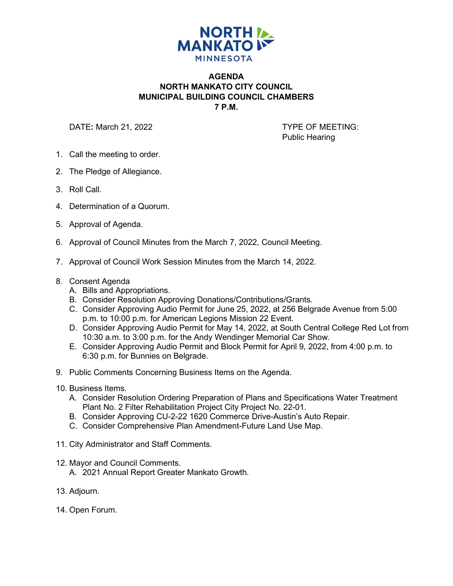

## **AGENDA NORTH MANKATO CITY COUNCIL MUNICIPAL BUILDING COUNCIL CHAMBERS 7 P.M.**

DATE: March 21, 2022 **TYPE OF MEETING:** 

Public Hearing

- 1. Call the meeting to order.
- 2. The Pledge of Allegiance.
- 3. Roll Call.
- 4. Determination of a Quorum.
- 5. Approval of Agenda.
- 6. Approval of Council Minutes from the March 7, 2022, Council Meeting.
- 7. Approval of Council Work Session Minutes from the March 14, 2022.
- 8. Consent Agenda
	- A. Bills and Appropriations.
	- B. Consider Resolution Approving Donations/Contributions/Grants.
	- C. Consider Approving Audio Permit for June 25, 2022, at 256 Belgrade Avenue from 5:00 p.m. to 10:00 p.m. for American Legions Mission 22 Event.
	- D. Consider Approving Audio Permit for May 14, 2022, at South Central College Red Lot from 10:30 a.m. to 3:00 p.m. for the Andy Wendinger Memorial Car Show.
	- E. Consider Approving Audio Permit and Block Permit for April 9, 2022, from 4:00 p.m. to 6:30 p.m. for Bunnies on Belgrade.
- 9. Public Comments Concerning Business Items on the Agenda.
- 10. Business Items.
	- A. Consider Resolution Ordering Preparation of Plans and Specifications Water Treatment Plant No. 2 Filter Rehabilitation Project City Project No. 22-01.
	- B. Consider Approving CU-2-22 1620 Commerce Drive-Austin's Auto Repair.
	- C. Consider Comprehensive Plan Amendment-Future Land Use Map.
- 11. City Administrator and Staff Comments.
- 12. Mayor and Council Comments.
	- A. 2021 Annual Report Greater Mankato Growth.
- 13. Adjourn.
- 14. Open Forum.